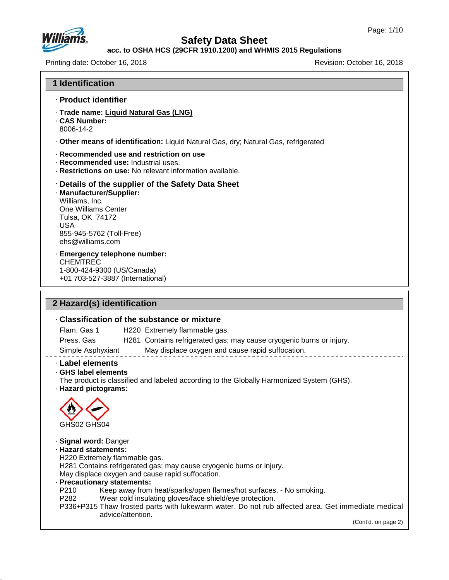

# **Safety Data Sheet**

## **acc. to OSHA HCS (29CFR 1910.1200) and WHMIS 2015 Regulations**

Printing date: October 16, 2018 **Printing date: October 16, 2018** Revision: October 16, 2018

**1 Identification**

| · Product identifier                                                                                                                               |                                                                                                                                                                                                                                                           |
|----------------------------------------------------------------------------------------------------------------------------------------------------|-----------------------------------------------------------------------------------------------------------------------------------------------------------------------------------------------------------------------------------------------------------|
| · Trade name: Liquid Natural Gas (LNG)<br><b>CAS Number:</b><br>8006-14-2                                                                          |                                                                                                                                                                                                                                                           |
|                                                                                                                                                    | · Other means of identification: Liquid Natural Gas, dry; Natural Gas, refrigerated                                                                                                                                                                       |
| · Recommended use: Industrial uses.                                                                                                                | Recommended use and restriction on use<br>· Restrictions on use: No relevant information available.                                                                                                                                                       |
| · Manufacturer/Supplier:<br>Williams, Inc.<br>One Williams Center<br>Tulsa, OK 74172<br><b>USA</b><br>855-945-5762 (Toll-Free)<br>ehs@williams.com | Details of the supplier of the Safety Data Sheet                                                                                                                                                                                                          |
| · Emergency telephone number:<br><b>CHEMTREC</b><br>1-800-424-9300 (US/Canada)<br>+01 703-527-3887 (International)                                 |                                                                                                                                                                                                                                                           |
|                                                                                                                                                    |                                                                                                                                                                                                                                                           |
| 2 Hazard(s) identification                                                                                                                         |                                                                                                                                                                                                                                                           |
|                                                                                                                                                    | Classification of the substance or mixture                                                                                                                                                                                                                |
| Flam. Gas 1                                                                                                                                        | H220 Extremely flammable gas.                                                                                                                                                                                                                             |
| Press. Gas                                                                                                                                         | H281 Contains refrigerated gas; may cause cryogenic burns or injury.                                                                                                                                                                                      |
| Simple Asphyxiant                                                                                                                                  | May displace oxygen and cause rapid suffocation.                                                                                                                                                                                                          |
| · Label elements<br>GHS label elements<br>· Hazard pictograms:                                                                                     | The product is classified and labeled according to the Globally Harmonized System (GHS).                                                                                                                                                                  |
| GHS02 GHS04                                                                                                                                        |                                                                                                                                                                                                                                                           |
| · Signal word: Danger<br>· Hazard statements:<br>H220 Extremely flammable gas.<br>· Precautionary statements:<br>P210<br>P282                      | H281 Contains refrigerated gas; may cause cryogenic burns or injury.<br>May displace oxygen and cause rapid suffocation.<br>Keep away from heat/sparks/open flames/hot surfaces. - No smoking.<br>Wear cold insulating gloves/face shield/eye protection. |
|                                                                                                                                                    | P336+P315 Thaw frosted parts with lukewarm water. Do not rub affected area. Get immediate medical<br>advice/attention.                                                                                                                                    |
|                                                                                                                                                    | (Cont'd. on page 2)                                                                                                                                                                                                                                       |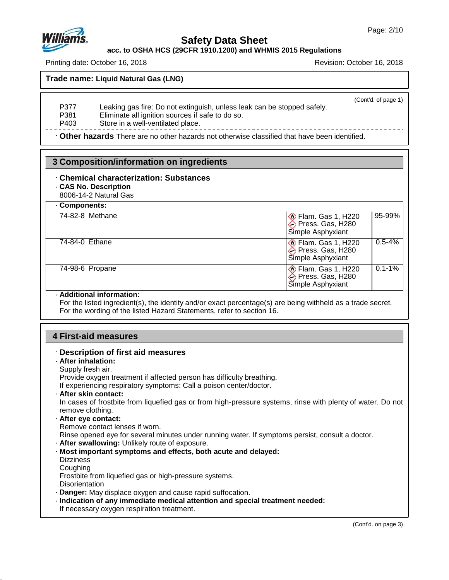

**acc. to OSHA HCS (29CFR 1910.1200) and WHMIS 2015 Regulations**

Printing date: October 16, 2018 Revision: October 16, 2018

**Trade name: Liquid Natural Gas (LNG)**

(Cont'd. of page 1)

P377 Leaking gas fire: Do not extinguish, unless leak can be stopped safely.<br>P381 Eliminate all ignition sources if safe to do so.

Eliminate all ignition sources if safe to do so.

P403 Store in a well-ventilated place.

· **Other hazards** There are no other hazards nototherwise classified that have been identified.

## **3 Composition/information on ingredients**

## · **Chemical characterization: Substances**

## · **CAS No. Description**

8006-14-2 Natural Gas

| Components:     |                                                                               |  |
|-----------------|-------------------------------------------------------------------------------|--|
| 74-82-8 Methane | 95-99%<br>Elam. Gas 1, H220<br>Press. Gas, H280<br>Simple Asphyxiant          |  |
| 74-84-0 Ethane  | $0.5 - 4%$<br>So Flam. Gas 1, H220<br>→ Press. Gas, H280<br>Simple Asphyxiant |  |
| 74-98-6 Propane | $0.1 - 1\%$<br>Flam. Gas 1, H220<br>Press. Gas, H280<br>Simple Asphyxiant     |  |

## · **Additional information:**

For the listed ingredient(s), the identity and/or exact percentage(s) are being withheld as a trade secret. For the wording of the listed Hazard Statements, refer to section 16.

## **4 First-aid measures**

# · **Description of first aid measures**

- · **After inhalation:**
- Supply fresh air.

Provide oxygen treatment if affected person has difficulty breathing.

If experiencing respiratory symptoms: Call a poison center/doctor.

· **After skin contact:**

In cases of frostbite from liquefied gas or from high-pressure systems, rinse with plenty of water. Do not remove clothing.

## · **After eye contact:**

Remove contact lenses if worn.

Rinse opened eye for several minutes under running water. If symptoms persist, consult a doctor.

- · **After swallowing:** Unlikely route of exposure.
- · **Most important symptoms and effects, both acute and delayed:**
- **Dizziness**
- **Coughing**

47.0.13

Frostbite from liquefied gas or high-pressure systems.

- **Disorientation**
- · **Danger:** May displace oxygen and cause rapid suffocation.
- · **Indication of any immediate medical attention and special treatment needed:**
- If necessary oxygen respiration treatment.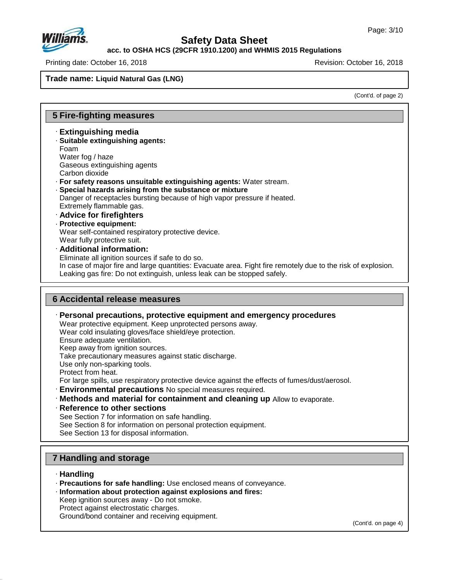

**acc. to OSHA HCS (29CFR 1910.1200) and WHMIS 2015 Regulations**

Printing date: October 16, 2018 Revision: October 16, 2018

**Trade name: Liquid Natural Gas (LNG)**

(Cont'd. of page 2)

## **5 Fire-fighting measures**

- · **Extinguishing media**
- · **Suitable extinguishing agents:** Foam Water fog / haze Gaseous extinguishing agents
- Carbon dioxide
- · **For safety reasons unsuitable extinguishing agents:** Water stream.
- · **Special hazards arising from the substance or mixture**
- Danger of receptacles bursting because of high vapor pressure if heated. Extremely flammable gas.
- · **Advice for firefighters**
- · **Protective equipment:**
- Wear self-contained respiratory protective device. Wear fully protective suit.
- · **Additional information:**
- Eliminate all ignition sources if safe to do so.
- In case of major fire and large quantities: Evacuate area. Fight fire remotely due to the risk of explosion. Leaking gas fire: Do not extinguish, unless leak can be stopped safely.

## **6 Accidental release measures**

· **Personal precautions, protective equipment and emergency procedures**

Wear protective equipment. Keep unprotected persons away.

Wear cold insulating gloves/face shield/eye protection.

Ensure adequate ventilation.

Keep away from ignition sources.

Take precautionary measures against static discharge.

Use only non-sparking tools.

Protect from heat.

For large spills, use respiratory protective device against the effects of fumes/dust/aerosol.

- · **Environmental precautions** No special measures required.
- · **Methods and material for containment and cleaning up** Allow to evaporate.
- · **Reference to other sections**

See Section 7 for information on safe handling.

See Section 8 for information on personal protection equipment.

See Section 13 for disposal information.

## **7 Handling and storage**

· **Handling**

47.0.13

- · **Precautions for safe handling:** Use enclosed means of conveyance.
- · **Information about protection against explosions and fires:**

Keep ignition sources away - Do not smoke. Protect against electrostatic charges.

Ground/bond container and receiving equipment.

(Cont'd. on page 4)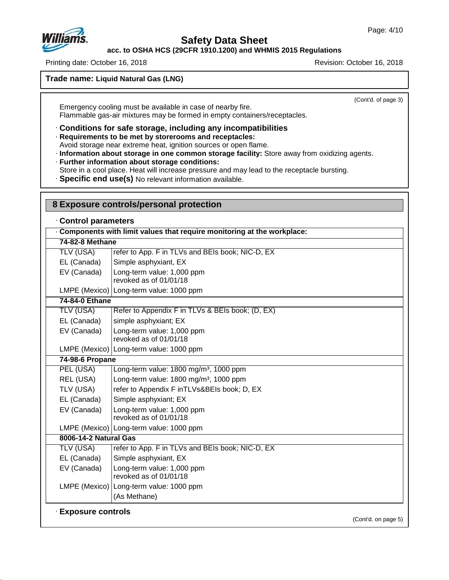

# **Safety Data Sheet**

**acc. to OSHA HCS (29CFR 1910.1200) and WHMIS 2015 Regulations**

Printing date: October 16, 2018 Revision: October 16, 2018

**Trade name: Liquid Natural Gas (LNG)**

(Cont'd. of page 3)

Emergency cooling must be available in case of nearby fire. Flammable gas-air mixtures may be formed in empty containers/receptacles.

· **Conditions for safe storage, including any incompatibilities**

· **Requirements to be met by storerooms and receptacles:**

Avoid storage near extreme heat, ignition sources or open flame.

- · **Information about storage in one common storage facility:** Store away from oxidizing agents.
- · **Further information about storage conditions:**
- Store in a cool place. Heat will increase pressure and may lead to the receptacle bursting.
- · **Specific end use(s)** No relevant information available.

| 8 Exposure controls/personal protection |                                                                        |  |  |  |
|-----------------------------------------|------------------------------------------------------------------------|--|--|--|
| Control parameters                      |                                                                        |  |  |  |
|                                         | Components with limit values that require monitoring at the workplace: |  |  |  |
| 74-82-8 Methane                         |                                                                        |  |  |  |
| <b>TLV (USA)</b>                        | refer to App. F in TLVs and BEIs book; NIC-D, EX                       |  |  |  |
| EL (Canada)                             | Simple asphyxiant, EX                                                  |  |  |  |
| EV (Canada)                             | Long-term value: 1,000 ppm<br>revoked as of 01/01/18                   |  |  |  |
|                                         | LMPE (Mexico) Long-term value: 1000 ppm                                |  |  |  |
| 74-84-0 Ethane                          |                                                                        |  |  |  |
| <b>TLV (USA)</b>                        | Refer to Appendix F in TLVs & BEIs book; (D, EX)                       |  |  |  |
| EL (Canada)                             | simple asphyxiant; EX                                                  |  |  |  |
| EV (Canada)                             | Long-term value: 1,000 ppm<br>revoked as of 01/01/18                   |  |  |  |
|                                         | LMPE (Mexico) Long-term value: 1000 ppm                                |  |  |  |
| 74-98-6 Propane                         |                                                                        |  |  |  |
| PEL (USA)                               | Long-term value: 1800 mg/m <sup>3</sup> , 1000 ppm                     |  |  |  |
| REL (USA)                               | Long-term value: 1800 mg/m <sup>3</sup> , 1000 ppm                     |  |  |  |
| TLV (USA)                               | refer to Appendix F inTLVs&BEIs book; D, EX                            |  |  |  |
| EL (Canada)                             | Simple asphyxiant; EX                                                  |  |  |  |
| EV (Canada)                             | Long-term value: 1,000 ppm<br>revoked as of 01/01/18                   |  |  |  |
|                                         | LMPE (Mexico) Long-term value: 1000 ppm                                |  |  |  |
| 8006-14-2 Natural Gas                   |                                                                        |  |  |  |
| TLV (USA)                               | refer to App. F in TLVs and BEIs book; NIC-D, EX                       |  |  |  |
| EL (Canada)                             | Simple asphyxiant, EX                                                  |  |  |  |
| EV (Canada)                             | Long-term value: 1,000 ppm<br>revoked as of 01/01/18                   |  |  |  |
|                                         | LMPE (Mexico) Long-term value: 1000 ppm                                |  |  |  |
|                                         | (As Methane)                                                           |  |  |  |
| <b>Exposure controls</b>                | (Cont'd. on page 5)                                                    |  |  |  |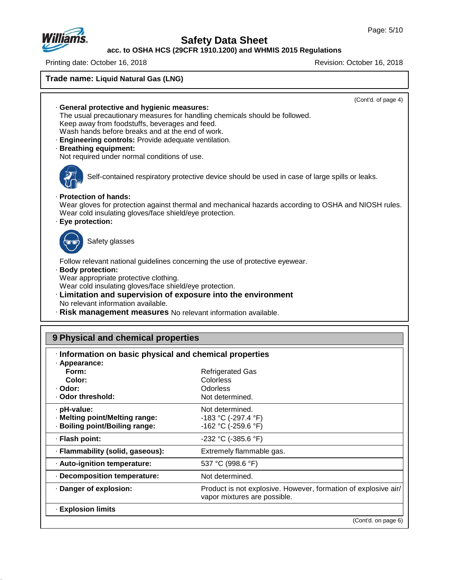

# **Safety Data Sheet**

**acc. to OSHA HCS (29CFR 1910.1200) and WHMIS 2015 Regulations**

Printing date: October 16, 2018 **Printing date: October 16, 2018** 

| Trade name: Liquid Natural Gas (LNG)                                                                                                                                                                                                                                                           |                                                                                                                                                                                                       |
|------------------------------------------------------------------------------------------------------------------------------------------------------------------------------------------------------------------------------------------------------------------------------------------------|-------------------------------------------------------------------------------------------------------------------------------------------------------------------------------------------------------|
| General protective and hygienic measures:<br>Keep away from foodstuffs, beverages and feed.<br>Wash hands before breaks and at the end of work.<br>· Engineering controls: Provide adequate ventilation.<br>· Breathing equipment:<br>Not required under normal conditions of use.             | (Cont'd. of page 4)<br>The usual precautionary measures for handling chemicals should be followed.                                                                                                    |
| · Protection of hands:<br>Wear cold insulating gloves/face shield/eye protection.                                                                                                                                                                                                              | Self-contained respiratory protective device should be used in case of large spills or leaks.<br>Wear gloves for protection against thermal and mechanical hazards according to OSHA and NIOSH rules. |
| · Eye protection:<br>Safety glasses<br>Follow relevant national guidelines concerning the use of protective eyewear.                                                                                                                                                                           |                                                                                                                                                                                                       |
| · Body protection:<br>Wear appropriate protective clothing.<br>Wear cold insulating gloves/face shield/eye protection.<br>· Limitation and supervision of exposure into the environment<br>No relevant information available.<br>· Risk management measures No relevant information available. |                                                                                                                                                                                                       |
| 9 Physical and chemical properties                                                                                                                                                                                                                                                             |                                                                                                                                                                                                       |
| · Information on basic physical and chemical properties<br>· Appearance:<br>Form:<br>Color:<br>· Odor:<br>· Odor threshold:                                                                                                                                                                    | <b>Refrigerated Gas</b><br>Colorless<br>Odorless<br>Not determined.                                                                                                                                   |
| · pH-value:<br>· Melting point/Melting range:<br>· Boiling point/Boiling range:                                                                                                                                                                                                                | Not determined.<br>-183 °C (-297.4 °F)<br>-162 °C (-259.6 °F)                                                                                                                                         |
| · Flash point:                                                                                                                                                                                                                                                                                 | -232 °C (-385.6 °F)                                                                                                                                                                                   |
| · Flammability (solid, gaseous):                                                                                                                                                                                                                                                               | Extremely flammable gas.                                                                                                                                                                              |
| · Auto-ignition temperature:                                                                                                                                                                                                                                                                   | 537 °C (998.6 °F)                                                                                                                                                                                     |
| · Decomposition temperature:                                                                                                                                                                                                                                                                   | Not determined.                                                                                                                                                                                       |
| · Danger of explosion:                                                                                                                                                                                                                                                                         | Product is not explosive. However, formation of explosive air/<br>vapor mixtures are possible.                                                                                                        |
| · Explosion limits                                                                                                                                                                                                                                                                             |                                                                                                                                                                                                       |

(Cont'd. on page 6)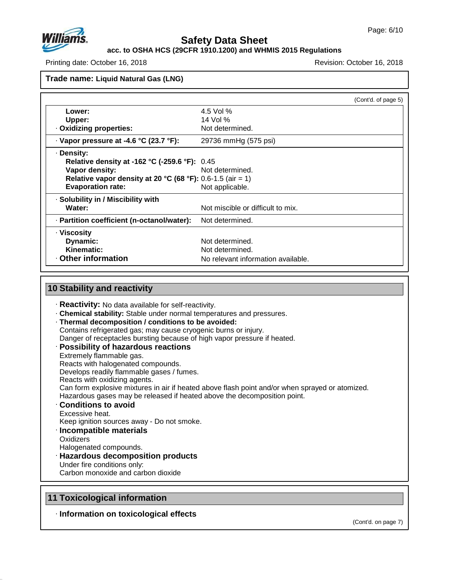

**acc. to OSHA HCS (29CFR 1910.1200) and WHMIS 2015 Regulations**

Printing date: October 16, 2018 Revision: October 16, 2018

**Trade name: Liquid Natural Gas (LNG)**

|                                                            | (Cont'd. of page 5)                |  |
|------------------------------------------------------------|------------------------------------|--|
| Lower:                                                     | 4.5 Vol %                          |  |
| Upper:                                                     | 14 Vol %                           |  |
| . Oxidizing properties:                                    | Not determined.                    |  |
| $\cdot$ Vapor pressure at -4.6 °C (23.7 °F):               | 29736 mmHg (575 psi)               |  |
| · Density:                                                 |                                    |  |
| <b>Relative density at -162 °C (-259.6 °F):</b> 0.45       |                                    |  |
| Vapor density:                                             | Not determined.                    |  |
| Relative vapor density at 20 °C (68 °F): 0.6-1.5 (air = 1) |                                    |  |
| <b>Evaporation rate:</b>                                   | Not applicable.                    |  |
| · Solubility in / Miscibility with                         |                                    |  |
| Water:                                                     | Not miscible or difficult to mix.  |  |
| - Partition coefficient (n-octanol/water):                 | Not determined.                    |  |
| · Viscosity                                                |                                    |  |
| Dynamic:                                                   | Not determined.                    |  |
| Kinematic:                                                 | Not determined.                    |  |
| Other information                                          | No relevant information available. |  |

#### **10 Stability and reactivity** · **Reactivity:** No data available for self-reactivity. · **Chemical stability:** Stable under normal temperatures and pressures. · **Thermal decomposition / conditions to be avoided:** Contains refrigerated gas; may cause cryogenic burns or injury. Danger of receptacles bursting because of high vapor pressure if heated. · **Possibility of hazardous reactions** Extremely flammable gas. Reacts with halogenated compounds. Develops readily flammable gases / fumes. Reacts with oxidizing agents. Can form explosive mixtures in air if heated above flash point and/or when sprayed or atomized. Hazardous gases may be released if heated above the decomposition point. · **Conditions to avoid** Excessive heat. Keep ignition sources away - Do not smoke. · **Incompatible materials Oxidizers** Halogenated compounds. · **Hazardous decomposition products** Under fire conditions only: Carbon monoxide and carbon dioxide

## **11 Toxicological information**

47.0.13

· **Information on toxicological effects**

(Cont'd. on page 7)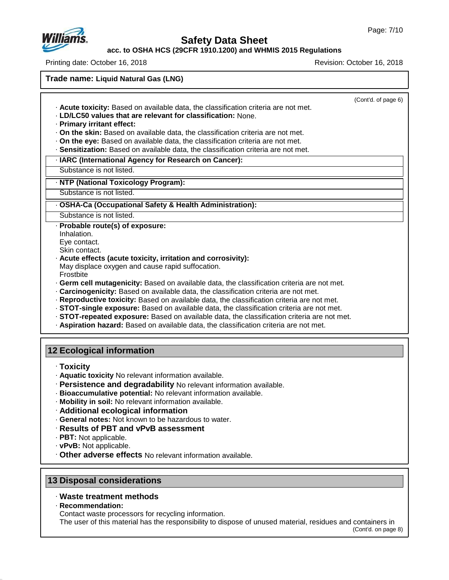

**acc. to OSHA HCS (29CFR 1910.1200) and WHMIS 2015 Regulations**

Printing date: October 16, 2018 Revision: October 16, 2018

**Trade name: Liquid Natural Gas (LNG)**

(Cont'd. of page 6) · **Acute toxicity:** Based on available data, the classification criteria are not met. · **LD/LC50 values that are relevant for classification:** None. · **Primary irritant effect:** · **On the skin:** Based on available data, the classification criteria are not met. · **On the eye:** Based on available data, the classification criteria are not met. · **Sensitization:** Based on available data, the classification criteria are not met. · **IARC (International Agency for Research on Cancer):** Substance is not listed. · **NTP (National Toxicology Program):** Substance is not listed. · **OSHA-Ca (Occupational Safety & Health Administration):** Substance is not listed. · **Probable route(s) of exposure:** Inhalation. Eye contact. Skin contact. · **Acute effects (acute toxicity, irritation and corrosivity):** May displace oxygen and cause rapid suffocation. Frostbite · **Germ cell mutagenicity:** Based on available data, the classification criteria are not met. · **Carcinogenicity:** Based on available data, the classification criteria are not met. · **Reproductive toxicity:** Based on available data, the classification criteria are not met. · **STOT-single exposure:** Based on available data, the classification criteria are not met. · **STOT-repeated exposure:** Based on available data, the classification criteria are not met. · **Aspiration hazard:** Based on available data, the classification criteria are not met. **12 Ecological information** · **Toxicity** · **Aquatic toxicity** No relevant information available. · **Persistence and degradability** No relevant information available.

- · **Bioaccumulative potential:** No relevant information available.
- · **Mobility in soil:** No relevant information available.
- · **Additional ecological information**
- · **General notes:** Not known to be hazardous to water.
- · **Results of PBT and vPvB assessment**
- · **PBT:** Not applicable.
- · **vPvB:** Not applicable.
- · **Other adverse effects** No relevant information available.

## **13 Disposal considerations**

## · **Waste treatment methods**

· **Recommendation:**

47.0.13

Contact waste processors for recycling information.

The user of this material has the responsibility to dispose of unused material, residues and containers in

(Cont'd. on page 8)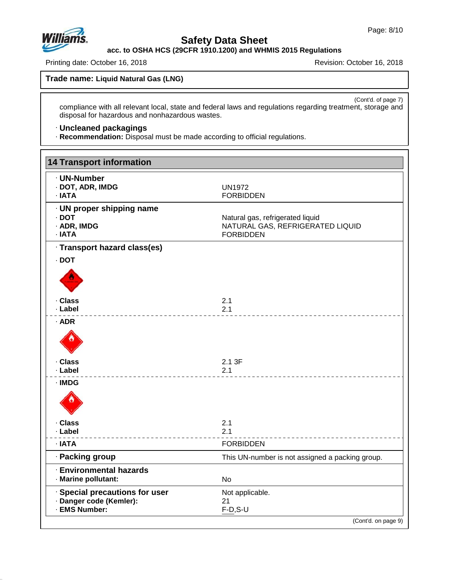

# **Safety Data Sheet**

**acc. to OSHA HCS (29CFR 1910.1200) and WHMIS 2015 Regulations**

Printing date: October 16, 2018 **Printing date: October 16, 2018** 

**Trade name: Liquid Natural Gas (LNG)**

(Cont'd. of page 7) compliance with all relevant local, state and federal laws and regulations regarding treatment, storage and disposal for hazardous and nonhazardous wastes.

## · **Uncleaned packagings**

· **Recommendation:** Disposal must be made according to official regulations.

| <b>14 Transport information</b>                                            |                                                                                          |
|----------------------------------------------------------------------------|------------------------------------------------------------------------------------------|
| · UN-Number<br>· DOT, ADR, IMDG<br>· IATA                                  | <b>UN1972</b><br><b>FORBIDDEN</b>                                                        |
| · UN proper shipping name<br>$\cdot$ DOT<br>· ADR, IMDG<br>· IATA          | Natural gas, refrigerated liquid<br>NATURAL GAS, REFRIGERATED LIQUID<br><b>FORBIDDEN</b> |
| · Transport hazard class(es)                                               |                                                                                          |
| $\cdot$ DOT                                                                |                                                                                          |
|                                                                            |                                                                                          |
| · Class                                                                    | 2.1                                                                                      |
| · Label                                                                    | 2.1                                                                                      |
| $·$ ADR                                                                    |                                                                                          |
| · Class<br>· Label                                                         | 2.1 3F<br>2.1                                                                            |
| · IMDG<br>· Class                                                          | 2.1                                                                                      |
| · Label                                                                    | 2.1                                                                                      |
| $\cdot$ IATA                                                               | <b>FORBIDDEN</b>                                                                         |
| · Packing group                                                            | This UN-number is not assigned a packing group.                                          |
| <b>Environmental hazards</b><br>· Marine pollutant:                        | <b>No</b>                                                                                |
| · Special precautions for user<br>· Danger code (Kemler):<br>· EMS Number: | Not applicable.<br>21<br>$F-D, S-U$                                                      |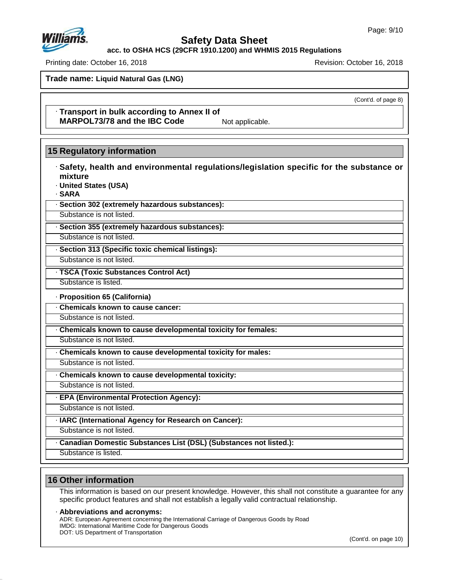**acc. to OSHA HCS (29CFR 1910.1200) and WHMIS 2015 Regulations**

Printing date: October 16, 2018 Revision: October 16, 2018

**Trade name: Liquid Natural Gas (LNG)**

(Cont'd. of page 8)

· **Transport in bulk according to Annex II of MARPOL73/78** and the IBC Code Not applicable.

## **15 Regulatory information**

· **Safety, health and environmental regulations/legislation specific for the substance or mixture** · **United States (USA)**

· **SARA**

· **Section 302 (extremely hazardous substances):**

Substance is not listed.

· **Section 355 (extremely hazardous substances):**

Substance is not listed.

· **Section 313 (Specific toxic chemical listings):**

Substance is not listed.

· **TSCA (Toxic Substances Control Act)**

Substance is listed.

· **Proposition 65 (California)**

· **Chemicals known to cause cancer:**

Substance is not listed.

· **Chemicals known to cause developmental toxicity for females:**

Substance is not listed.

· **Chemicals known to cause developmental toxicity for males:**

Substance is not listed.

· **Chemicals known to cause developmental toxicity:**

Substance is not listed.

· **EPA (Environmental Protection Agency):**

Substance is not listed.

· **IARC (International Agency for Research on Cancer):**

Substance is not listed.

· **Canadian Domestic Substances List (DSL) (Substances not listed.):**

Substance is listed.

# **16 Other information**

47.0.13

This information is based on our present knowledge. However, this shall not constitute a guarantee for any specific product features and shall not establish a legally valid contractual relationship.

· **Abbreviations and acronyms:**

ADR: European Agreement concerning the International Carriage of Dangerous Goods by Road IMDG: International Maritime Code for Dangerous Goods DOT: US Department of Transportation

(Cont'd. on page 10)